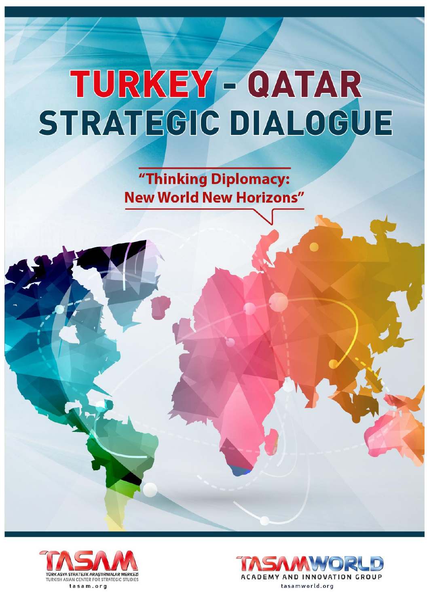"Thinking Diplomacy: **New World New Horizons"** 



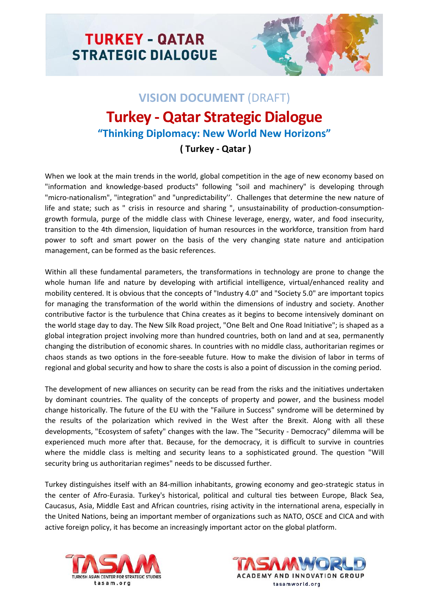

# **VISION DOCUMENT** (DRAFT) **Turkey - Qatar Strategic Dialogue "Thinking Diplomacy: New World New Horizons"**

## **( Turkey - Qatar )**

When we look at the main trends in the world, global competition in the age of new economy based on "information and knowledge-based products" following "soil and machinery" is developing through "micro-nationalism", "integration" and "unpredictability''. Challenges that determine the new nature of life and state; such as " crisis in resource and sharing ", unsustainability of production-consumptiongrowth formula, purge of the middle class with Chinese leverage, energy, water, and food insecurity, transition to the 4th dimension, liquidation of human resources in the workforce, transition from hard power to soft and smart power on the basis of the very changing state nature and anticipation management, can be formed as the basic references.

Within all these fundamental parameters, the transformations in technology are prone to change the whole human life and nature by developing with artificial intelligence, virtual/enhanced reality and mobility centered. It is obvious that the concepts of "Industry 4.0" and "Society 5.0" are important topics for managing the transformation of the world within the dimensions of industry and society. Another contributive factor is the turbulence that China creates as it begins to become intensively dominant on the world stage day to day. The New Silk Road project, "One Belt and One Road Initiative"; is shaped as a global integration project involving more than hundred countries, both on land and at sea, permanently changing the distribution of economic shares. In countries with no middle class, authoritarian regimes or chaos stands as two options in the fore-seeable future. How to make the division of labor in terms of regional and global security and how to share the costs is also a point of discussion in the coming period.

The development of new alliances on security can be read from the risks and the initiatives undertaken by dominant countries. The quality of the concepts of property and power, and the business model change historically. The future of the EU with the "Failure in Success" syndrome will be determined by the results of the polarization which revived in the West after the Brexit. Along with all these developments, "Ecosystem of safety" changes with the law. The "Security - Democracy" dilemma will be experienced much more after that. Because, for the democracy, it is difficult to survive in countries where the middle class is melting and security leans to a sophisticated ground. The question "Will security bring us authoritarian regimes" needs to be discussed further.

Turkey distinguishes itself with an 84-million inhabitants, growing economy and geo-strategic status in the center of Afro-Eurasia. Turkey's historical, political and cultural ties between Europe, Black Sea, Caucasus, Asia, Middle East and African countries, rising activity in the international arena, especially in the United Nations, being an important member of organizations such as NATO, OSCE and CICA and with active foreign policy, it has become an increasingly important actor on the global platform.



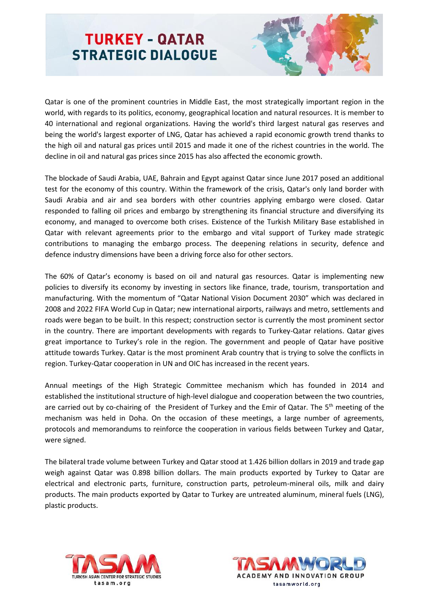

Qatar is one of the prominent countries in Middle East, the most strategically important region in the world, with regards to its politics, economy, geographical location and natural resources. It is member to 40 international and regional organizations. Having the world's third largest natural gas reserves and being the world's largest exporter of LNG, Qatar has achieved a rapid economic growth trend thanks to the high oil and natural gas prices until 2015 and made it one of the richest countries in the world. The decline in oil and natural gas prices since 2015 has also affected the economic growth.

The blockade of Saudi Arabia, UAE, Bahrain and Egypt against Qatar since June 2017 posed an additional test for the economy of this country. Within the framework of the crisis, Qatar's only land border with Saudi Arabia and air and sea borders with other countries applying embargo were closed. Qatar responded to falling oil prices and embargo by strengthening its financial structure and diversifying its economy, and managed to overcome both crises. Existence of the Turkish Military Base established in Qatar with relevant agreements prior to the embargo and vital support of Turkey made strategic contributions to managing the embargo process. The deepening relations in security, defence and defence industry dimensions have been a driving force also for other sectors.

The 60% of Qatar's economy is based on oil and natural gas resources. Qatar is implementing new policies to diversify its economy by investing in sectors like finance, trade, tourism, transportation and manufacturing. With the momentum of "Qatar National Vision Document 2030" which was declared in 2008 and 2022 FIFA World Cup in Qatar; new international airports, railways and metro, settlements and roads were began to be built. In this respect; construction sector is currently the most prominent sector in the country. There are important developments with regards to Turkey-Qatar relations. Qatar gives great importance to Turkey's role in the region. The government and people of Qatar have positive attitude towards Turkey. Qatar is the most prominent Arab country that is trying to solve the conflicts in region. Turkey-Qatar cooperation in UN and OIC has increased in the recent years.

Annual meetings of the High Strategic Committee mechanism which has founded in 2014 and established the institutional structure of high-level dialogue and cooperation between the two countries, are carried out by co-chairing of the President of Turkey and the Emir of Qatar. The 5<sup>th</sup> meeting of the mechanism was held in Doha. On the occasion of these meetings, a large number of agreements, protocols and memorandums to reinforce the cooperation in various fields between Turkey and Qatar, were signed.

The bilateral trade volume between Turkey and Qatar stood at 1.426 billion dollars in 2019 and trade gap weigh against Qatar was 0.898 billion dollars. The main products exported by Turkey to Qatar are electrical and electronic parts, furniture, construction parts, petroleum-mineral oils, milk and dairy products. The main products exported by Qatar to Turkey are untreated aluminum, mineral fuels (LNG), plastic products.



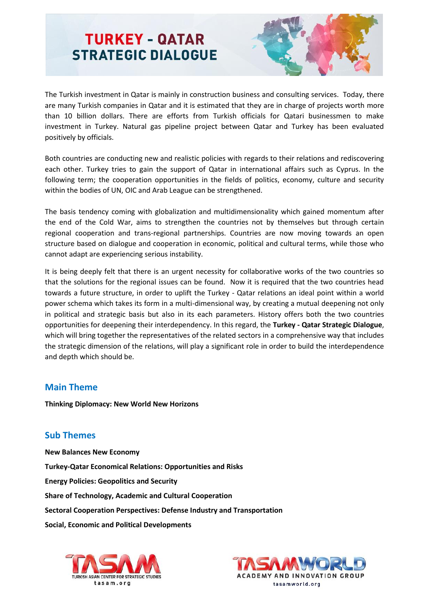

The Turkish investment in Qatar is mainly in construction business and consulting services. Today, there are many Turkish companies in Qatar and it is estimated that they are in charge of projects worth more than 10 billion dollars. There are efforts from Turkish officials for Qatari businessmen to make investment in Turkey. Natural gas pipeline project between Qatar and Turkey has been evaluated positively by officials.

Both countries are conducting new and realistic policies with regards to their relations and rediscovering each other. Turkey tries to gain the support of Qatar in international affairs such as Cyprus. In the following term; the cooperation opportunities in the fields of politics, economy, culture and security within the bodies of UN, OIC and Arab League can be strengthened.

The basis tendency coming with globalization and multidimensionality which gained momentum after the end of the Cold War, aims to strengthen the countries not by themselves but through certain regional cooperation and trans-regional partnerships. Countries are now moving towards an open structure based on dialogue and cooperation in economic, political and cultural terms, while those who cannot adapt are experiencing serious instability.

It is being deeply felt that there is an urgent necessity for collaborative works of the two countries so that the solutions for the regional issues can be found. Now it is required that the two countries head towards a future structure, in order to uplift the Turkey - Qatar relations an ideal point within a world power schema which takes its form in a multi-dimensional way, by creating a mutual deepening not only in political and strategic basis but also in its each parameters. History offers both the two countries opportunities for deepening their interdependency. In this regard, the **Turkey - Qatar Strategic Dialogue**, which will bring together the representatives of the related sectors in a comprehensive way that includes the strategic dimension of the relations, will play a significant role in order to build the interdependence and depth which should be.

#### **Main Theme**

**Thinking Diplomacy: New World New Horizons**

### **Sub Themes**

**New Balances New Economy Turkey-Qatar Economical Relations: Opportunities and Risks Energy Policies: Geopolitics and Security Share of Technology, Academic and Cultural Cooperation Sectoral Cooperation Perspectives: Defense Industry and Transportation Social, Economic and Political Developments**



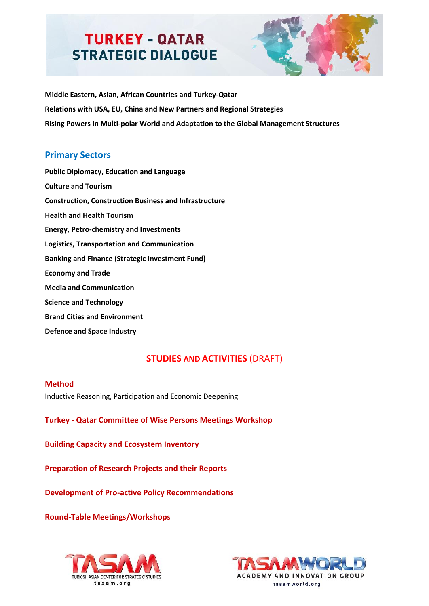

**Middle Eastern, Asian, African Countries and Turkey-Qatar Relations with USA, EU, China and New Partners and Regional Strategies Rising Powers in Multi-polar World and Adaptation to the Global Management Structures**

### **Primary Sectors**

**Public Diplomacy, Education and Language Culture and Tourism Construction, Construction Business and Infrastructure Health and Health Tourism Energy, Petro-chemistry and Investments Logistics, Transportation and Communication Banking and Finance (Strategic Investment Fund) Economy and Trade Media and Communication Science and Technology Brand Cities and Environment Defence and Space Industry**

## **STUDIES AND ACTIVITIES (DRAFT)**

#### **Method**

Inductive Reasoning, Participation and Economic Deepening

**Turkey - Qatar Committee of Wise Persons Meetings Workshop**

**Building Capacity and Ecosystem Inventory**

**Preparation of Research Projects and their Reports**

**Development of Pro-active Policy Recommendations** 

**Round-Table Meetings/Workshops**